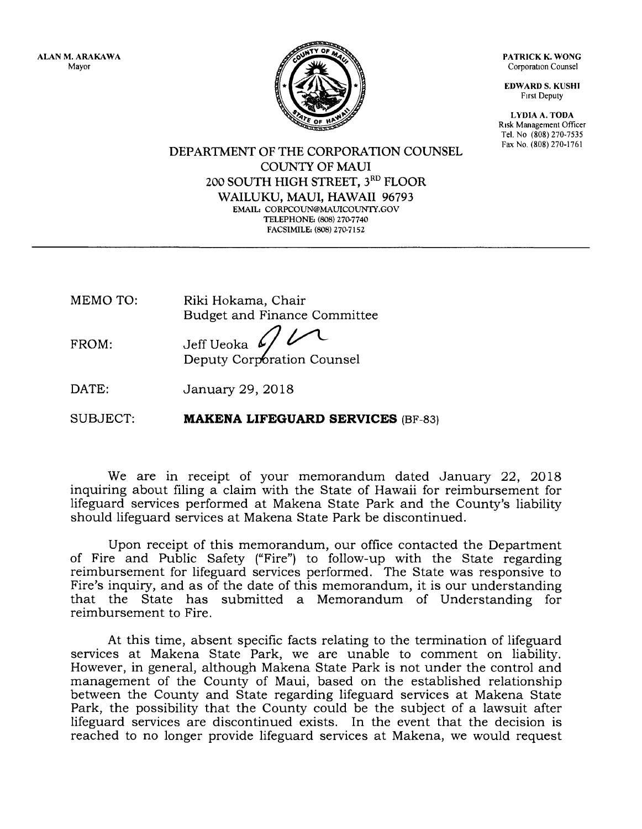ALAN M, ARAKAWA Mayor

PATRICK K. WONG Corporation Counsel

EDWARD S. KUSHI Frrst Deputy

LYDIA A, TODA Risk Management Officer Tel. No (808) 270-7535<br>Fax No. (808) 270-1761

 $\mathbf{F}$  Y OF

DEPARTMENT OF THE CORPORATION COUNSEL COLINTY OF MAUI 200 SOUTH HIGH STREET, 3RD FLOOR WAILUKU, MAUI, HAWAII 96793 EMAIL: CORPCOUN@MAUICOUNTY.GOV TELEPHONE: (808) 270-7740 FACSIMILE: (808) 27O7152

- MEMO TO: Riki Hokama, Chair Budget and Finance Committee
- FROM: Jeff Ueoka Deputy Corporation Counsel
- DATE: January 29, 2Ol8

SUBJECT: MAKENA LIFEGUARD SERVICES (BF-83)

We are in receipt of your memorandum dated January 22, 2Ol8 inquiring about filing a claim with the State of Hawaii for reimbursement for lifeguard services performed at Makena State Park and the County's liability should lifeguard services at Makena State Park be discontinued.

Upon receipt of this memorandum, our office contacted the Department of Fire and Public Safety ("Fire") to follow-up with the State regarding reimbursement for lifeguard services performed. The State was responsive to Fire's inquiry, and as of the date of this memorandum, it is our understanding that the State has submitted a Memorandum of Understanding for reimbursement to Fire.

At this time, absent specific facts relating to the termination of lifeguard services at Makena State Park, we are unable to comment on liability. However, in general, although Makena State Park is not under the control and management of the County of Maui, based on the established relationship between the County and State regarding lifeguard services at Makena State Park, the possibility that the County could be the subject of a lawsuit after lifeguard services are discontinued exists. In the event that the decision is reached to no longer provide lifeguard services at Makena, we would request